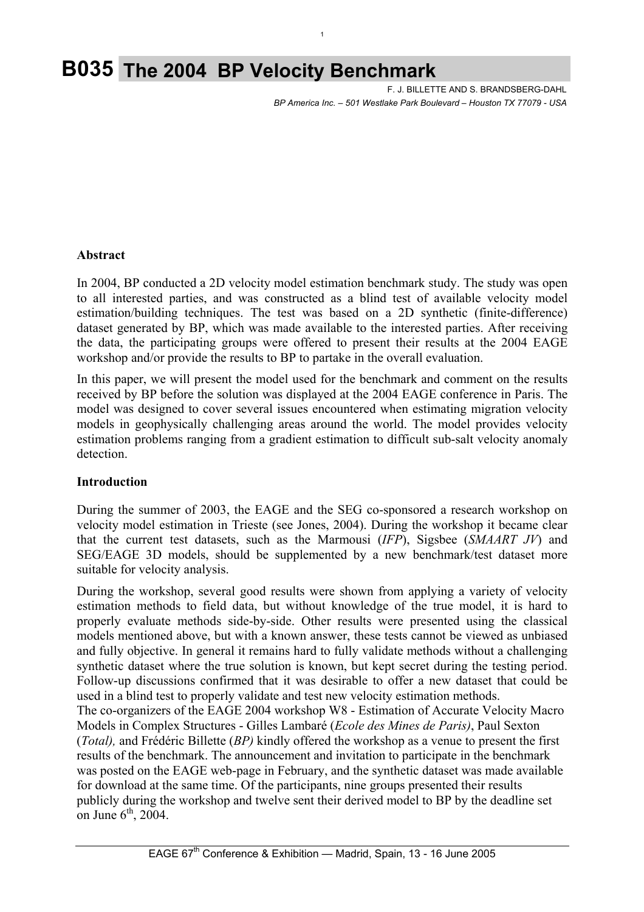# **B035 The 2004 BP Velocity Benchmark**

 F. J. BILLETTE AND S. BRANDSBERG-DAHL  *BP America Inc. – 501 Westlake Park Boulevard – Houston TX 77079 - USA*

## **Abstract**

In 2004, BP conducted a 2D velocity model estimation benchmark study. The study was open to all interested parties, and was constructed as a blind test of available velocity model estimation/building techniques. The test was based on a 2D synthetic (finite-difference) dataset generated by BP, which was made available to the interested parties. After receiving the data, the participating groups were offered to present their results at the 2004 EAGE workshop and/or provide the results to BP to partake in the overall evaluation.

1

In this paper, we will present the model used for the benchmark and comment on the results received by BP before the solution was displayed at the 2004 EAGE conference in Paris. The model was designed to cover several issues encountered when estimating migration velocity models in geophysically challenging areas around the world. The model provides velocity estimation problems ranging from a gradient estimation to difficult sub-salt velocity anomaly detection.

#### **Introduction**

During the summer of 2003, the EAGE and the SEG co-sponsored a research workshop on velocity model estimation in Trieste (see Jones, 2004). During the workshop it became clear that the current test datasets, such as the Marmousi (*IFP*), Sigsbee (*SMAART JV*) and SEG/EAGE 3D models, should be supplemented by a new benchmark/test dataset more suitable for velocity analysis.

During the workshop, several good results were shown from applying a variety of velocity estimation methods to field data, but without knowledge of the true model, it is hard to properly evaluate methods side-by-side. Other results were presented using the classical models mentioned above, but with a known answer, these tests cannot be viewed as unbiased and fully objective. In general it remains hard to fully validate methods without a challenging synthetic dataset where the true solution is known, but kept secret during the testing period. Follow-up discussions confirmed that it was desirable to offer a new dataset that could be used in a blind test to properly validate and test new velocity estimation methods. The co-organizers of the EAGE 2004 workshop W8 - Estimation of Accurate Velocity Macro Models in Complex Structures - Gilles Lambaré (*Ecole des Mines de Paris)*, Paul Sexton (*Total),* and Frédéric Billette (*BP)* kindly offered the workshop as a venue to present the first

results of the benchmark. The announcement and invitation to participate in the benchmark was posted on the EAGE web-page in February, and the synthetic dataset was made available for download at the same time. Of the participants, nine groups presented their results publicly during the workshop and twelve sent their derived model to BP by the deadline set on June  $6<sup>th</sup>$ , 2004.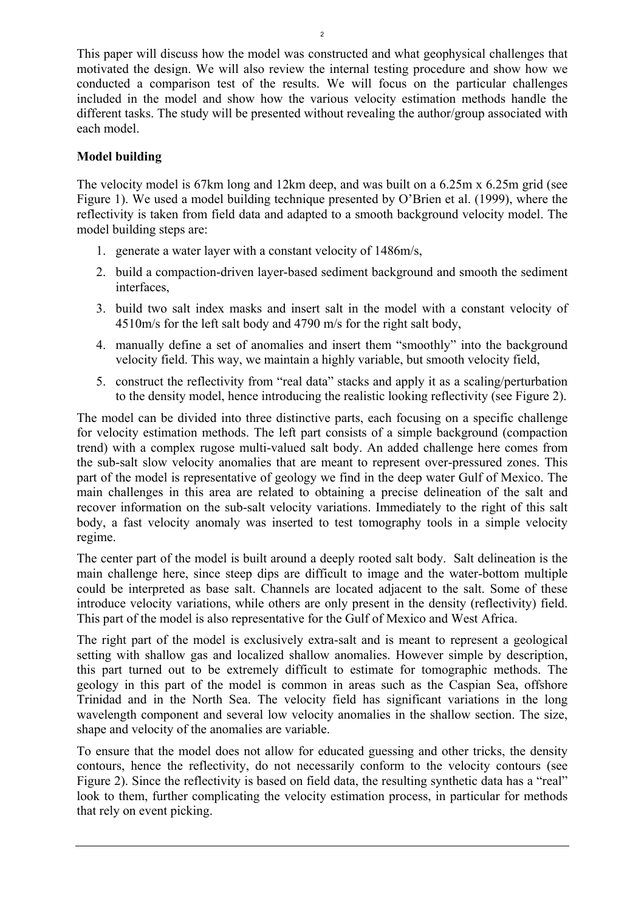This paper will discuss how the model was constructed and what geophysical challenges that motivated the design. We will also review the internal testing procedure and show how we conducted a comparison test of the results. We will focus on the particular challenges included in the model and show how the various velocity estimation methods handle the different tasks. The study will be presented without revealing the author/group associated with each model.

# **Model building**

The velocity model is 67km long and 12km deep, and was built on a 6.25m x 6.25m grid (see Figure 1). We used a model building technique presented by O'Brien et al. (1999), where the reflectivity is taken from field data and adapted to a smooth background velocity model. The model building steps are:

- 1. generate a water layer with a constant velocity of 1486m/s,
- 2. build a compaction-driven layer-based sediment background and smooth the sediment interfaces,
- 3. build two salt index masks and insert salt in the model with a constant velocity of 4510m/s for the left salt body and 4790 m/s for the right salt body,
- 4. manually define a set of anomalies and insert them "smoothly" into the background velocity field. This way, we maintain a highly variable, but smooth velocity field,
- 5. construct the reflectivity from "real data" stacks and apply it as a scaling/perturbation to the density model, hence introducing the realistic looking reflectivity (see Figure 2).

The model can be divided into three distinctive parts, each focusing on a specific challenge for velocity estimation methods. The left part consists of a simple background (compaction trend) with a complex rugose multi-valued salt body. An added challenge here comes from the sub-salt slow velocity anomalies that are meant to represent over-pressured zones. This part of the model is representative of geology we find in the deep water Gulf of Mexico. The main challenges in this area are related to obtaining a precise delineation of the salt and recover information on the sub-salt velocity variations. Immediately to the right of this salt body, a fast velocity anomaly was inserted to test tomography tools in a simple velocity regime.

The center part of the model is built around a deeply rooted salt body. Salt delineation is the main challenge here, since steep dips are difficult to image and the water-bottom multiple could be interpreted as base salt. Channels are located adjacent to the salt. Some of these introduce velocity variations, while others are only present in the density (reflectivity) field. This part of the model is also representative for the Gulf of Mexico and West Africa.

The right part of the model is exclusively extra-salt and is meant to represent a geological setting with shallow gas and localized shallow anomalies. However simple by description, this part turned out to be extremely difficult to estimate for tomographic methods. The geology in this part of the model is common in areas such as the Caspian Sea, offshore Trinidad and in the North Sea. The velocity field has significant variations in the long wavelength component and several low velocity anomalies in the shallow section. The size, shape and velocity of the anomalies are variable.

To ensure that the model does not allow for educated guessing and other tricks, the density contours, hence the reflectivity, do not necessarily conform to the velocity contours (see Figure 2). Since the reflectivity is based on field data, the resulting synthetic data has a "real" look to them, further complicating the velocity estimation process, in particular for methods that rely on event picking.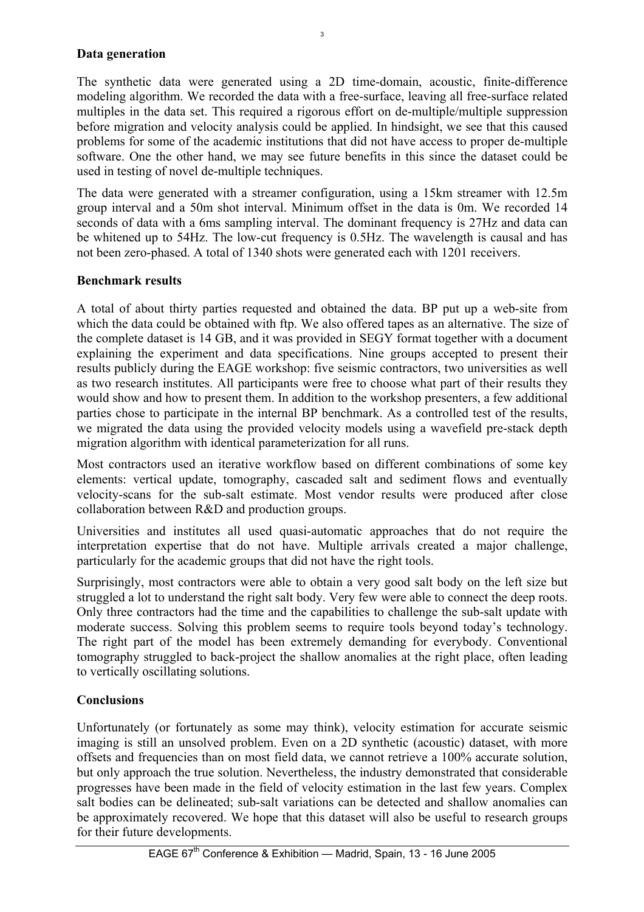## **Data generation**

The synthetic data were generated using a 2D time-domain, acoustic, finite-difference modeling algorithm. We recorded the data with a free-surface, leaving all free-surface related multiples in the data set. This required a rigorous effort on de-multiple/multiple suppression before migration and velocity analysis could be applied. In hindsight, we see that this caused problems for some of the academic institutions that did not have access to proper de-multiple software. One the other hand, we may see future benefits in this since the dataset could be used in testing of novel de-multiple techniques.

The data were generated with a streamer configuration, using a 15km streamer with 12.5m group interval and a 50m shot interval. Minimum offset in the data is 0m. We recorded 14 seconds of data with a 6ms sampling interval. The dominant frequency is 27Hz and data can be whitened up to 54Hz. The low-cut frequency is 0.5Hz. The wavelength is causal and has not been zero-phased. A total of 1340 shots were generated each with 1201 receivers.

## **Benchmark results**

A total of about thirty parties requested and obtained the data. BP put up a web-site from which the data could be obtained with ftp. We also offered tapes as an alternative. The size of the complete dataset is 14 GB, and it was provided in SEGY format together with a document explaining the experiment and data specifications. Nine groups accepted to present their results publicly during the EAGE workshop: five seismic contractors, two universities as well as two research institutes. All participants were free to choose what part of their results they would show and how to present them. In addition to the workshop presenters, a few additional parties chose to participate in the internal BP benchmark. As a controlled test of the results, we migrated the data using the provided velocity models using a wavefield pre-stack depth migration algorithm with identical parameterization for all runs.

Most contractors used an iterative workflow based on different combinations of some key elements: vertical update, tomography, cascaded salt and sediment flows and eventually velocity-scans for the sub-salt estimate. Most vendor results were produced after close collaboration between R&D and production groups.

Universities and institutes all used quasi-automatic approaches that do not require the interpretation expertise that do not have. Multiple arrivals created a major challenge, particularly for the academic groups that did not have the right tools.

Surprisingly, most contractors were able to obtain a very good salt body on the left size but struggled a lot to understand the right salt body. Very few were able to connect the deep roots. Only three contractors had the time and the capabilities to challenge the sub-salt update with moderate success. Solving this problem seems to require tools beyond today's technology. The right part of the model has been extremely demanding for everybody. Conventional tomography struggled to back-project the shallow anomalies at the right place, often leading to vertically oscillating solutions.

# **Conclusions**

Unfortunately (or fortunately as some may think), velocity estimation for accurate seismic imaging is still an unsolved problem. Even on a 2D synthetic (acoustic) dataset, with more offsets and frequencies than on most field data, we cannot retrieve a 100% accurate solution, but only approach the true solution. Nevertheless, the industry demonstrated that considerable progresses have been made in the field of velocity estimation in the last few years. Complex salt bodies can be delineated; sub-salt variations can be detected and shallow anomalies can be approximately recovered. We hope that this dataset will also be useful to research groups for their future developments.